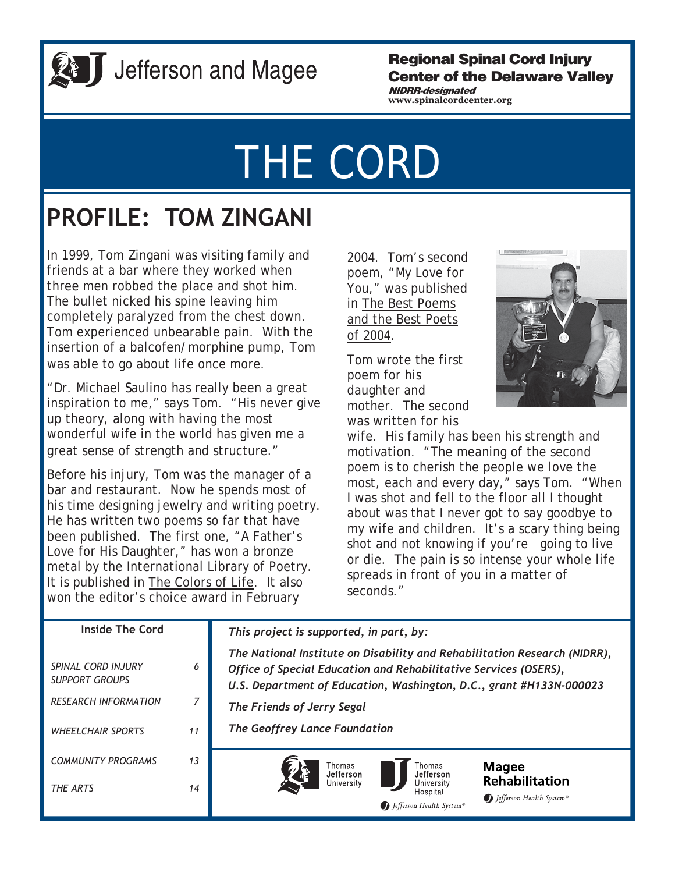

## J Jefferson and Magee

### **Regional Spinal Cord Injury Center of the Delaware Valley**

**www.spinalcordcenter.org NIDRR-designated** 

# THE CORD

## **PROFILE: TOM ZINGANI**

In 1999, Tom Zingani was visiting family and friends at a bar where they worked when three men robbed the place and shot him. The bullet nicked his spine leaving him completely paralyzed from the chest down. Tom experienced unbearable pain. With the insertion of a balcofen/morphine pump, Tom was able to go about life once more.

"Dr. Michael Saulino has really been a great inspiration to me," says Tom. "His never give up theory, along with having the most wonderful wife in the world has given me a great sense of strength and structure."

Before his injury, Tom was the manager of a bar and restaurant. Now he spends most of his time designing jewelry and writing poetry. He has written two poems so far that have been published. The first one, "A Father's Love for His Daughter," has won a bronze metal by the International Library of Poetry. It is published in The Colors of Life. It also won the editor's choice award in February

2004. Tom's second poem, "My Love for You," was published in The Best Poems and the Best Poets of 2004.

Tom wrote the first poem for his daughter and mother. The second was written for his



wife. His family has been his strength and motivation. "The meaning of the second poem is to cherish the people we love the most, each and every day," says Tom. "When I was shot and fell to the floor all I thought about was that I never got to say goodbye to my wife and children. It's a scary thing being shot and not knowing if you're going to live or die. The pain is so intense your whole life spreads in front of you in a matter of seconds."

| Inside The Cord                                                                                        |              | This project is supported, in part, by:                                                                                                                                                                                                                                             |
|--------------------------------------------------------------------------------------------------------|--------------|-------------------------------------------------------------------------------------------------------------------------------------------------------------------------------------------------------------------------------------------------------------------------------------|
| SPINAL CORD INJURY<br><b>SUPPORT GROUPS</b><br><b>RESEARCH INFORMATION</b><br><b>WHEELCHAIR SPORTS</b> | 6<br>7<br>11 | The National Institute on Disability and Rehabilitation Research (NIDRR),<br>Office of Special Education and Rehabilitative Services (OSERS),<br>U.S. Department of Education, Washington, D.C., grant #H133N-000023<br>The Friends of Jerry Segal<br>The Geoffrey Lance Foundation |
| <b>COMMUNITY PROGRAMS</b><br>THE ARTS                                                                  | 13<br>14     | Thomas<br>Thomas<br><b>Magee</b><br>Jefferson<br>Jefferson<br><b>Rehabilitation</b><br>University<br>University<br>Hospital<br>Jefferson Health System®<br>Jefferson Health System®                                                                                                 |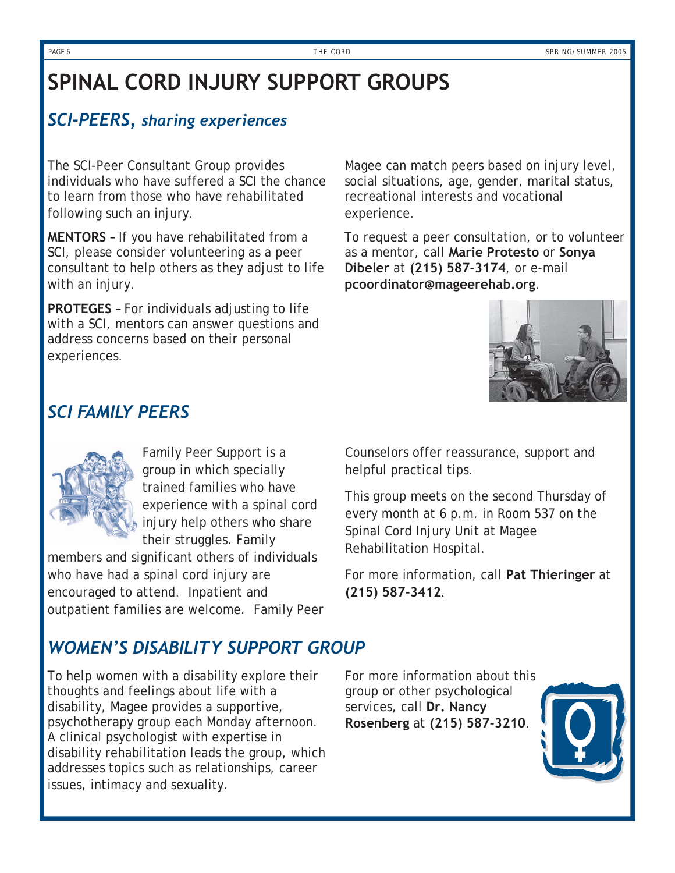### **SPINAL CORD INJURY SUPPORT GROUPS**

### *SCI-PEERS, sharing experiences*

The SCI-Peer Consultant Group provides individuals who have suffered a SCI the chance to learn from those who have rehabilitated following such an injury.

**MENTORS** – If you have rehabilitated from a SCI, please consider volunteering as a peer consultant to help others as they adjust to life with an injury.

**PROTEGES** – For individuals adjusting to life with a SCI, mentors can answer questions and address concerns based on their personal experiences.

Magee can match peers based on injury level, social situations, age, gender, marital status, recreational interests and vocational experience.

To request a peer consultation, or to volunteer as a mentor, call **Marie Protesto** or **Sonya Dibeler** at **(215) 587-3174**, or e-mail **pcoordinator@mageerehab.org**.



### *SCI FAMILY PEERS*

Family Peer Support is a group in which specially trained families who have experience with a spinal cord injury help others who share their struggles. Family

members and significant others of individuals who have had a spinal cord injury are encouraged to attend. Inpatient and outpatient families are welcome. Family Peer Counselors offer reassurance, support and helpful practical tips.

This group meets on the second Thursday of every month at 6 p.m. in Room 537 on the Spinal Cord Injury Unit at Magee Rehabilitation Hospital.

For more information, call **Pat Thieringer** at **(215) 587-3412**.

### *WOMEN'S DISABILITY SUPPORT GROUP*

To help women with a disability explore their thoughts and feelings about life with a disability, Magee provides a supportive, psychotherapy group each Monday afternoon. A clinical psychologist with expertise in disability rehabilitation leads the group, which addresses topics such as relationships, career issues, intimacy and sexuality.

For more information about this group or other psychological services, call **Dr. Nancy Rosenberg** at **(215) 587-3210**.

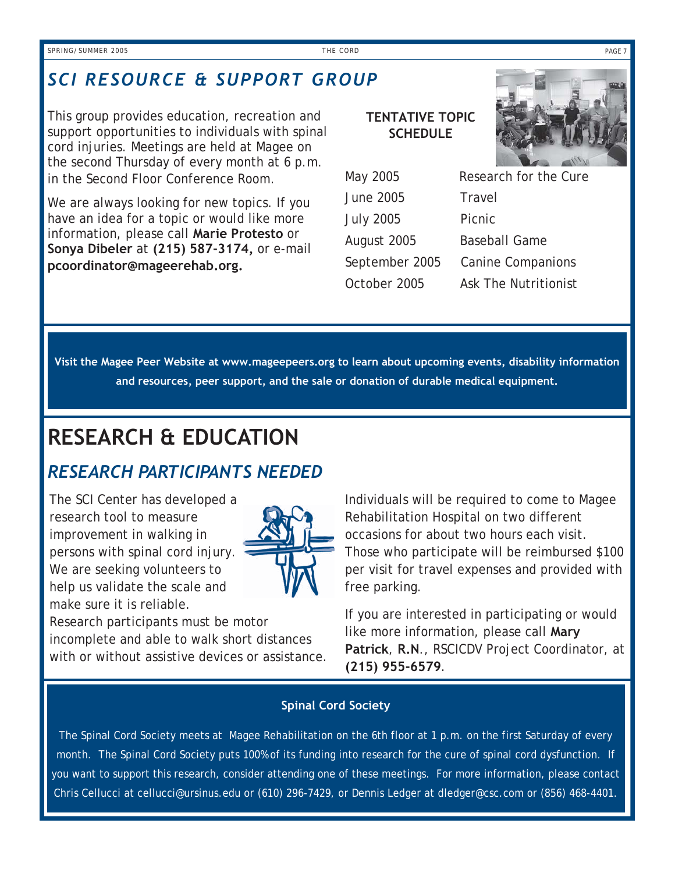### *SCI RESOURCE & SUPPORT GROUP*

This group provides education, recreation and support opportunities to individuals with spinal cord injuries. Meetings are held at Magee on the second Thursday of every month at 6 p.m. in the Second Floor Conference Room.

We are always looking for new topics. If you have an idea for a topic or would like more information, please call **Marie Protesto** or **Sonya Dibeler** at **(215) 587-3174,** or e-mail **pcoordinator@mageerehab.org.**

### **TENTATIVE TOPIC SCHEDULE**



| Research for the Cure |
|-----------------------|
|                       |
|                       |
|                       |
|                       |
|                       |
|                       |

**Visit the Magee Peer Website at www.mageepeers.org to learn about upcoming events, disability information and resources, peer support, and the sale or donation of durable medical equipment.** 

### **RESEARCH & EDUCATION**

### *RESEARCH PARTICIPANTS NEEDED*

The SCI Center has developed a research tool to measure improvement in walking in persons with spinal cord injury. We are seeking volunteers to help us validate the scale and make sure it is reliable.



Research participants must be motor incomplete and able to walk short distances with or without assistive devices or assistance. Individuals will be required to come to Magee Rehabilitation Hospital on two different occasions for about two hours each visit. Those who participate will be reimbursed \$100 per visit for travel expenses and provided with free parking.

If you are interested in participating or would like more information, please call **Mary Patrick**, **R.N**., RSCICDV Project Coordinator, at **(215) 955-6579**.

### **Spinal Cord Society**

The Spinal Cord Society meets at Magee Rehabilitation on the 6th floor at 1 p.m. on the first Saturday of every month. The Spinal Cord Society puts 100% of its funding into research for the cure of spinal cord dysfunction. If you want to support this research, consider attending one of these meetings. For more information, please contact Chris Cellucci at cellucci@ursinus.edu or (610) 296-7429, or Dennis Ledger at dledger@csc.com or (856) 468-4401.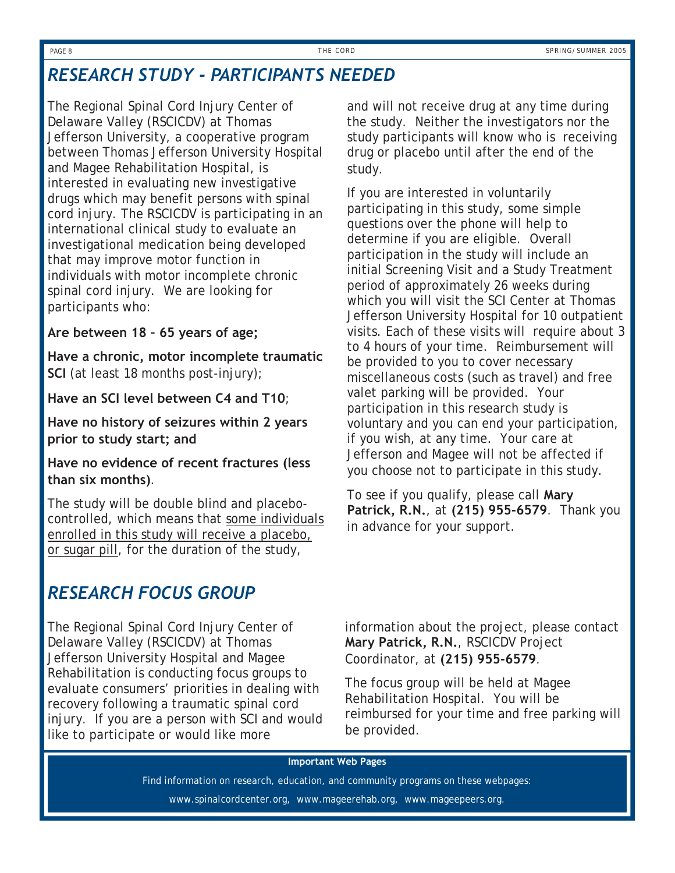### *RESEARCH STUDY - PARTICIPANTS NEEDED*

The Regional Spinal Cord Injury Center of Delaware Valley (RSCICDV) at Thomas Jefferson University, a cooperative program between Thomas Jefferson University Hospital and Magee Rehabilitation Hospital, is interested in evaluating new investigative drugs which may benefit persons with spinal cord injury. The RSCICDV is participating in an international clinical study to evaluate an investigational medication being developed that may improve motor function in individuals with motor incomplete chronic spinal cord injury. We are looking for participants who:

#### **Are between 18 – 65 years of age;**

**Have a chronic, motor incomplete traumatic SCI** (at least 18 months post-injury);

**Have an SCI level between C4 and T10**;

**Have no history of seizures within 2 years prior to study start; and**

**Have no evidence of recent fractures (less than six months)**.

The study will be double blind and placebocontrolled, which means that some individuals enrolled in this study will receive a placebo, or sugar pill, for the duration of the study,

### *RESEARCH FOCUS GROUP*

The Regional Spinal Cord Injury Center of Delaware Valley (RSCICDV) at Thomas Jefferson University Hospital and Magee Rehabilitation is conducting focus groups to evaluate consumers' priorities in dealing with recovery following a traumatic spinal cord injury. If you are a person with SCI and would like to participate or would like more

and will not receive drug at any time during the study. Neither the investigators nor the study participants will know who is receiving drug or placebo until after the end of the study.

If you are interested in voluntarily participating in this study, some simple questions over the phone will help to determine if you are eligible. Overall participation in the study will include an initial Screening Visit and a Study Treatment period of approximately 26 weeks during which you will visit the SCI Center at Thomas Jefferson University Hospital for 10 outpatient visits. Each of these visits will require about 3 to 4 hours of your time. Reimbursement will be provided to you to cover necessary miscellaneous costs (such as travel) and free valet parking will be provided. Your participation in this research study is voluntary and you can end your participation, if you wish, at any time. Your care at Jefferson and Magee will not be affected if you choose not to participate in this study.

To see if you qualify, please call **Mary Patrick, R.N.**, at **(215) 955-6579**. Thank you in advance for your support.

information about the project, please contact **Mary Patrick, R.N.**, RSCICDV Project Coordinator, at **(215) 955-6579**.

The focus group will be held at Magee Rehabilitation Hospital. You will be reimbursed for your time and free parking will be provided.

#### **Important Web Pages**

Find information on research, education, and community programs on these webpages:

www.spinalcordcenter.org, www.mageerehab.org, www.mageepeers.org.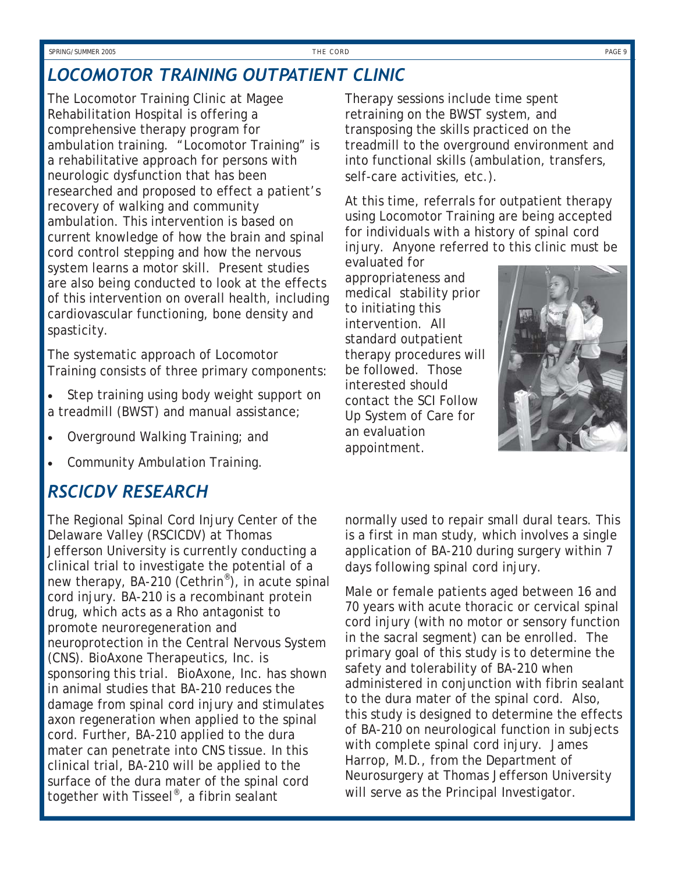### *LOCOMOTOR TRAINING OUTPATIENT CLINIC*

The Locomotor Training Clinic at Magee Rehabilitation Hospital is offering a comprehensive therapy program for ambulation training. "Locomotor Training" is a rehabilitative approach for persons with neurologic dysfunction that has been researched and proposed to effect a patient's recovery of walking and community ambulation. This intervention is based on current knowledge of how the brain and spinal cord control stepping and how the nervous system learns a motor skill. Present studies are also being conducted to look at the effects of this intervention on overall health, including cardiovascular functioning, bone density and spasticity.

The systematic approach of Locomotor Training consists of three primary components:

- Step training using body weight support on a treadmill (BWST) and manual assistance;
- Overground Walking Training; and
- Community Ambulation Training.

### *RSCICDV RESEARCH*

The Regional Spinal Cord Injury Center of the Delaware Valley (RSCICDV) at Thomas Jefferson University is currently conducting a clinical trial to investigate the potential of a new therapy, BA-210 (Cethrin®), in acute spinal cord injury. BA-210 is a recombinant protein drug, which acts as a Rho antagonist to promote neuroregeneration and neuroprotection in the Central Nervous System (CNS). BioAxone Therapeutics, Inc. is sponsoring this trial. BioAxone, Inc. has shown in animal studies that BA-210 reduces the damage from spinal cord injury and stimulates axon regeneration when applied to the spinal cord. Further, BA-210 applied to the dura mater can penetrate into CNS tissue. In this clinical trial, BA-210 will be applied to the surface of the dura mater of the spinal cord together with Tisseel®, a fibrin sealant

Therapy sessions include time spent retraining on the BWST system, and transposing the skills practiced on the treadmill to the overground environment and into functional skills (ambulation, transfers, self-care activities, etc.).

At this time, referrals for outpatient therapy using Locomotor Training are being accepted for individuals with a history of spinal cord injury. Anyone referred to this clinic must be

evaluated for appropriateness and medical stability prior to initiating this intervention. All standard outpatient therapy procedures will be followed. Those interested should contact the SCI Follow Up System of Care for an evaluation appointment.



normally used to repair small dural tears. This is a first in man study, which involves a single application of BA-210 during surgery within 7 days following spinal cord injury.

Male or female patients aged between 16 and 70 years with acute thoracic or cervical spinal cord injury (with no motor or sensory function in the sacral segment) can be enrolled. The primary goal of this study is to determine the safety and tolerability of BA-210 when administered in conjunction with fibrin sealant to the dura mater of the spinal cord. Also, this study is designed to determine the effects of BA-210 on neurological function in subjects with complete spinal cord injury. James Harrop, M.D., from the Department of Neurosurgery at Thomas Jefferson University will serve as the Principal Investigator.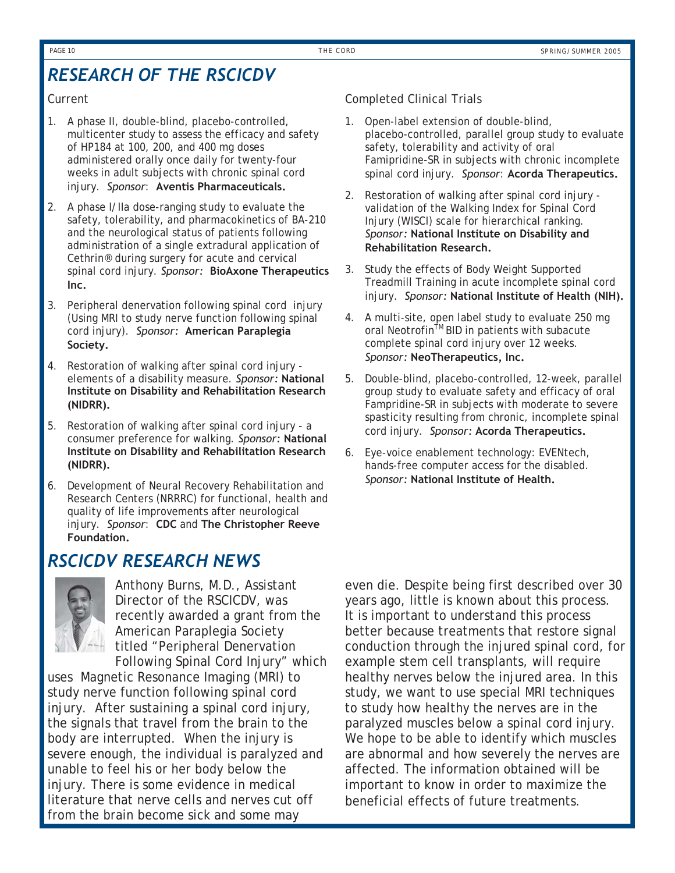### *RESEARCH OF THE RSCICDV*

#### Current

- 1. A phase II, double-blind, placebo-controlled, multicenter study to assess the efficacy and safety of HP184 at 100, 200, and 400 mg doses administered orally once daily for twenty-four weeks in adult subjects with chronic spinal cord injury. *Sponsor*: **Aventis Pharmaceuticals.**
- 2. A phase I/IIa dose-ranging study to evaluate the safety, tolerability, and pharmacokinetics of BA-210 and the neurological status of patients following administration of a single extradural application of Cethrin® during surgery for acute and cervical spinal cord injury. *Sponsor:* **BioAxone Therapeutics Inc.**
- 3. Peripheral denervation following spinal cord injury (Using MRI to study nerve function following spinal cord injury). *Sponsor:* **American Paraplegia Society.**
- 4. Restoration of walking after spinal cord injury elements of a disability measure. *Sponsor:* **National Institute on Disability and Rehabilitation Research (NIDRR).**
- 5. Restoration of walking after spinal cord injury a consumer preference for walking. *Sponsor:* **National Institute on Disability and Rehabilitation Research (NIDRR).**
- 6. Development of Neural Recovery Rehabilitation and Research Centers (NRRRC) for functional, health and quality of life improvements after neurological injury. *Sponsor*: **CDC** and **The Christopher Reeve Foundation.**

### *RSCICDV RESEARCH NEWS*



Anthony Burns, M.D., Assistant Director of the RSCICDV, was recently awarded a grant from the American Paraplegia Society titled "Peripheral Denervation Following Spinal Cord Injury" which

uses Magnetic Resonance Imaging (MRI) to study nerve function following spinal cord injury. After sustaining a spinal cord injury, the signals that travel from the brain to the body are interrupted. When the injury is severe enough, the individual is paralyzed and unable to feel his or her body below the injury. There is some evidence in medical literature that nerve cells and nerves cut off from the brain become sick and some may

#### Completed Clinical Trials

- 1. Open-label extension of double-blind, placebo-controlled, parallel group study to evaluate safety, tolerability and activity of oral Famipridine-SR in subjects with chronic incomplete spinal cord injury. *Sponsor*: **Acorda Therapeutics.**
- 2. Restoration of walking after spinal cord injury validation of the Walking Index for Spinal Cord Injury (WISCI) scale for hierarchical ranking. *Sponsor:* **National Institute on Disability and Rehabilitation Research.**
- 3. Study the effects of Body Weight Supported Treadmill Training in acute incomplete spinal cord injury. *Sponsor:* **National Institute of Health (NIH).**
- 4. A multi-site, open label study to evaluate 250 mg oral Neotrofin<sup>™</sup> BID in patients with subacute complete spinal cord injury over 12 weeks. *Sponsor:* **NeoTherapeutics, Inc.**
- 5. Double-blind, placebo-controlled, 12-week, parallel group study to evaluate safety and efficacy of oral Fampridine-SR in subjects with moderate to severe spasticity resulting from chronic, incomplete spinal cord injury. *Sponsor:* **Acorda Therapeutics.**
- 6. Eye-voice enablement technology: EVENtech, hands-free computer access for the disabled. *Sponsor:* **National Institute of Health.**

even die. Despite being first described over 30 years ago, little is known about this process. It is important to understand this process better because treatments that restore signal conduction through the injured spinal cord, for example stem cell transplants, will require healthy nerves below the injured area. In this study, we want to use special MRI techniques to study how healthy the nerves are in the paralyzed muscles below a spinal cord injury. We hope to be able to identify which muscles are abnormal and how severely the nerves are affected. The information obtained will be important to know in order to maximize the beneficial effects of future treatments.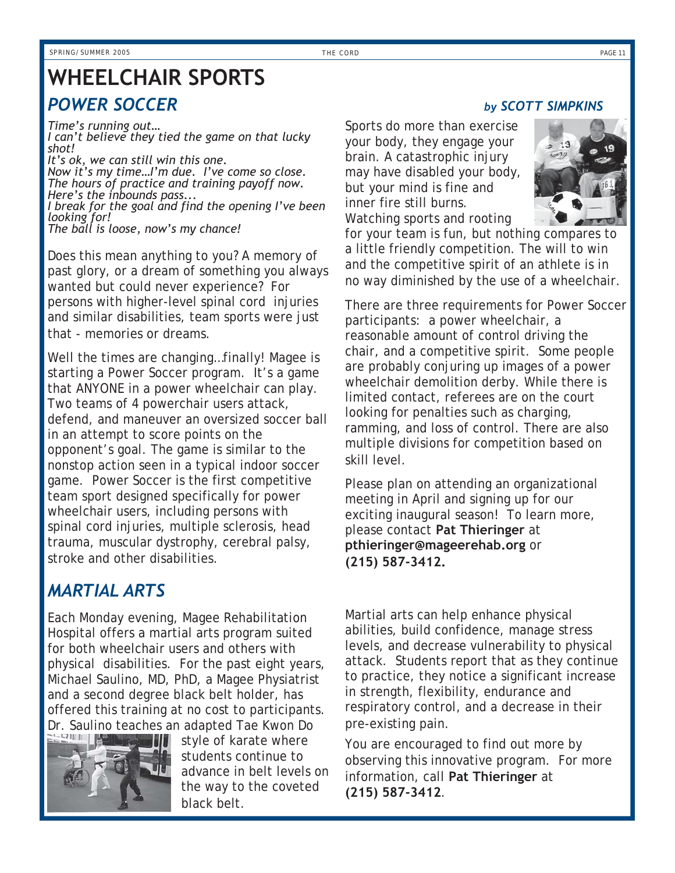## **WHEELCHAIR SPORTS**

### **POWER SOCCER** by SCOTT SIMPKINS

*Time's running out… I can't believe they tied the game on that lucky shot! It's ok, we can still win this one. Now it's my time…I'm due. I've come so close. The hours of practice and training payoff now. Here's the inbounds pass...* 

*I break for the goal and find the opening I've been looking for! The ball is loose, now's my chance!* 

Does this mean anything to you? A memory of past glory, or a dream of something you always wanted but could never experience? For persons with higher-level spinal cord injuries and similar disabilities, team sports were just that - memories or dreams.

Well the times are changing…finally! Magee is starting a Power Soccer program. It's a game that ANYONE in a power wheelchair can play. Two teams of 4 powerchair users attack, defend, and maneuver an oversized soccer ball in an attempt to score points on the opponent's goal. The game is similar to the nonstop action seen in a typical indoor soccer game. Power Soccer is the first competitive team sport designed specifically for power wheelchair users, including persons with spinal cord injuries, multiple sclerosis, head trauma, muscular dystrophy, cerebral palsy, stroke and other disabilities.

### *MARTIAL ARTS*

Each Monday evening, Magee Rehabilitation Hospital offers a martial arts program suited for both wheelchair users and others with physical disabilities. For the past eight years, Michael Saulino, MD, PhD, a Magee Physiatrist and a second degree black belt holder, has offered this training at no cost to participants. Dr. Saulino teaches an adapted Tae Kwon Do



style of karate where students continue to advance in belt levels on the way to the coveted black belt.

Sports do more than exercise your body, they engage your brain. A catastrophic injury may have disabled your body, but your mind is fine and inner fire still burns. Watching sports and rooting



for your team is fun, but nothing compares to a little friendly competition. The will to win and the competitive spirit of an athlete is in no way diminished by the use of a wheelchair.

There are three requirements for Power Soccer participants: a power wheelchair, a reasonable amount of control driving the chair, and a competitive spirit. Some people are probably conjuring up images of a power wheelchair demolition derby. While there is limited contact, referees are on the court looking for penalties such as charging, ramming, and loss of control. There are also multiple divisions for competition based on skill level.

Please plan on attending an organizational meeting in April and signing up for our exciting inaugural season! To learn more, please contact **Pat Thieringer** at **pthieringer@mageerehab.org** or **(215) 587-3412.**

Martial arts can help enhance physical abilities, build confidence, manage stress levels, and decrease vulnerability to physical attack. Students report that as they continue to practice, they notice a significant increase in strength, flexibility, endurance and respiratory control, and a decrease in their pre-existing pain.

You are encouraged to find out more by observing this innovative program. For more information, call **Pat Thieringer** at **(215) 587-3412**.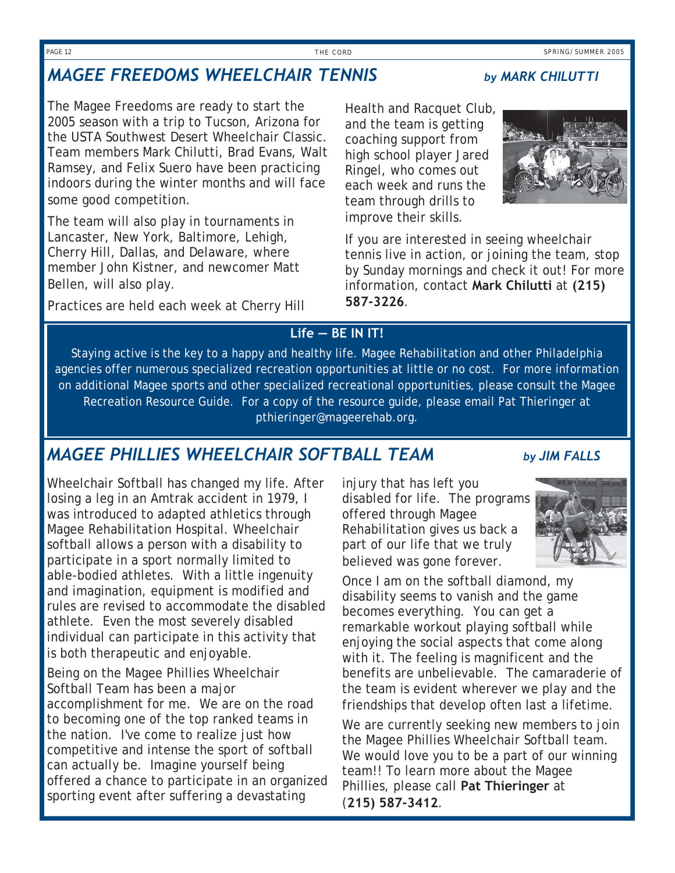### *MAGEE FREEDOMS WHEELCHAIR TENNIS by MARK CHILUTTI*

The Magee Freedoms are ready to start the 2005 season with a trip to Tucson, Arizona for the USTA Southwest Desert Wheelchair Classic. Team members Mark Chilutti, Brad Evans, Walt Ramsey, and Felix Suero have been practicing indoors during the winter months and will face some good competition.

The team will also play in tournaments in Lancaster, New York, Baltimore, Lehigh, Cherry Hill, Dallas, and Delaware, where member John Kistner, and newcomer Matt Bellen, will also play.

Practices are held each week at Cherry Hill

Health and Racquet Club, and the team is getting coaching support from high school player Jared Ringel, who comes out each week and runs the team through drills to improve their skills.



If you are interested in seeing wheelchair tennis live in action, or joining the team, stop by Sunday mornings and check it out! For more information, contact **Mark Chilutti** at **(215) 587-3226**.

### **Life — BE IN IT!**

Staying active is the key to a happy and healthy life. Magee Rehabilitation and other Philadelphia agencies offer numerous specialized recreation opportunities at little or no cost. For more information on additional Magee sports and other specialized recreational opportunities, please consult the Magee Recreation Resource Guide. For a copy of the resource guide, please email Pat Thieringer at pthieringer@mageerehab.org.

### *MAGEE PHILLIES WHEELCHAIR SOFTBALL TEAM by JIM FALLS*

Wheelchair Softball has changed my life. After losing a leg in an Amtrak accident in 1979, I was introduced to adapted athletics through Magee Rehabilitation Hospital. Wheelchair softball allows a person with a disability to participate in a sport normally limited to able-bodied athletes. With a little ingenuity and imagination, equipment is modified and rules are revised to accommodate the disabled athlete. Even the most severely disabled individual can participate in this activity that is both therapeutic and enjoyable.

Being on the Magee Phillies Wheelchair Softball Team has been a major accomplishment for me. We are on the road to becoming one of the top ranked teams in the nation. I've come to realize just how competitive and intense the sport of softball can actually be. Imagine yourself being offered a chance to participate in an organized sporting event after suffering a devastating

injury that has left you disabled for life. The programs offered through Magee Rehabilitation gives us back a part of our life that we truly believed was gone forever.





Once I am on the softball diamond, my disability seems to vanish and the game becomes everything. You can get a remarkable workout playing softball while enjoying the social aspects that come along with it. The feeling is magnificent and the benefits are unbelievable. The camaraderie of the team is evident wherever we play and the friendships that develop often last a lifetime.

We are currently seeking new members to join the Magee Phillies Wheelchair Softball team. We would love you to be a part of our winning team!! To learn more about the Magee Phillies, please call **Pat Thieringer** at (**215) 587-3412**.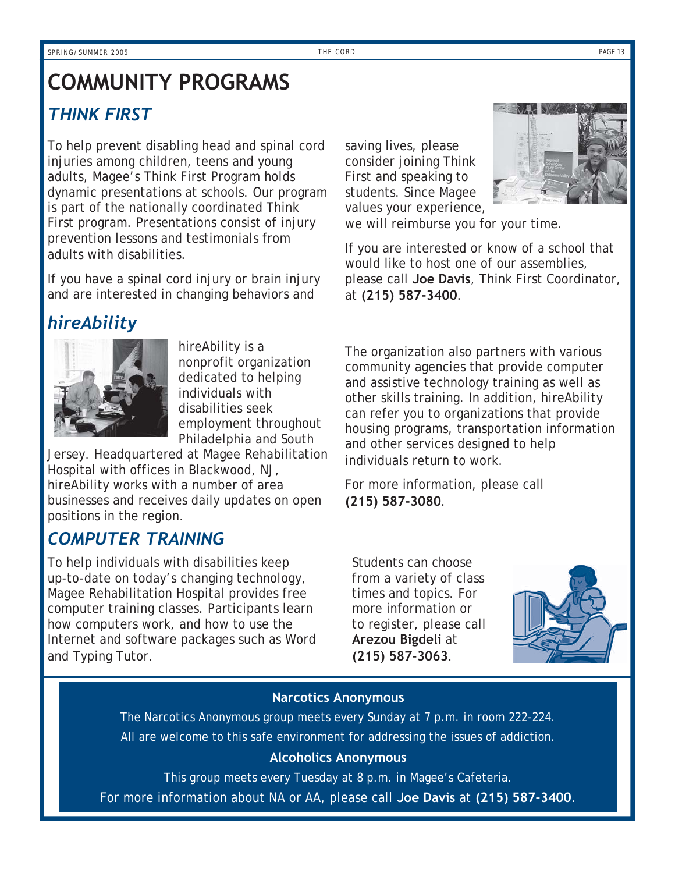### **COMMUNITY PROGRAMS**  *THINK FIRST*

To help prevent disabling head and spinal cord injuries among children, teens and young adults, Magee's Think First Program holds dynamic presentations at schools. Our program is part of the nationally coordinated Think First program. Presentations consist of injury prevention lessons and testimonials from adults with disabilities.

If you have a spinal cord injury or brain injury and are interested in changing behaviors and

### *hireAbility*



hireAbility is a nonprofit organization dedicated to helping individuals with disabilities seek employment throughout Philadelphia and South

Jersey. Headquartered at Magee Rehabilitation Hospital with offices in Blackwood, NJ, hireAbility works with a number of area businesses and receives daily updates on open positions in the region.

### *COMPUTER TRAINING*

To help individuals with disabilities keep up-to-date on today's changing technology, Magee Rehabilitation Hospital provides free computer training classes. Participants learn how computers work, and how to use the Internet and software packages such as Word and Typing Tutor.

saving lives, please consider joining Think First and speaking to students. Since Magee values your experience,



we will reimburse you for your time.

If you are interested or know of a school that would like to host one of our assemblies, please call **Joe Davis**, Think First Coordinator, at **(215) 587-3400**.

The organization also partners with various community agencies that provide computer and assistive technology training as well as other skills training. In addition, hireAbility can refer you to organizations that provide housing programs, transportation information and other services designed to help individuals return to work.

For more information, please call **(215) 587-3080**.

Students can choose from a variety of class times and topics. For more information or to register, please call **Arezou Bigdeli** at **(215) 587-3063**.



#### **Narcotics Anonymous**

The Narcotics Anonymous group meets every Sunday at 7 p.m. in room 222-224. All are welcome to this safe environment for addressing the issues of addiction.

### **Alcoholics Anonymous**

This group meets every Tuesday at 8 p.m. in Magee's Cafeteria. For more information about NA or AA, please call **Joe Davis** at **(215) 587-3400**.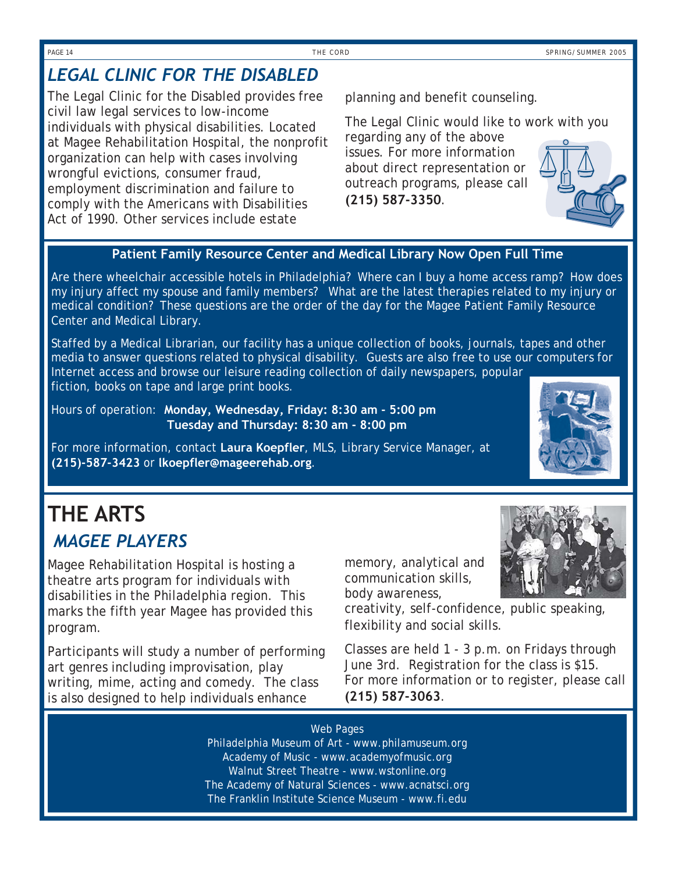### *LEGAL CLINIC FOR THE DISABLED*

The Legal Clinic for the Disabled provides free civil law legal services to low-income individuals with physical disabilities. Located at Magee Rehabilitation Hospital, the nonprofit organization can help with cases involving wrongful evictions, consumer fraud, employment discrimination and failure to comply with the Americans with Disabilities Act of 1990. Other services include estate

planning and benefit counseling.

The Legal Clinic would like to work with you regarding any of the above issues. For more information about direct representation or outreach programs, please call **(215) 587-3350**.

#### **Patient Family Resource Center and Medical Library Now Open Full Time**

 Are there wheelchair accessible hotels in Philadelphia? Where can I buy a home access ramp? How does my injury affect my spouse and family members? What are the latest therapies related to my injury or medical condition? These questions are the order of the day for the Magee Patient Family Resource Center and Medical Library.

Staffed by a Medical Librarian, our facility has a unique collection of books, journals, tapes and other media to answer questions related to physical disability. Guests are also free to use our computers for Internet access and browse our leisure reading collection of daily newspapers, popular fiction, books on tape and large print books.

 Hours of operation: **Monday, Wednesday, Friday: 8:30 am - 5:00 pm Tuesday and Thursday: 8:30 am - 8:00 pm** 

 For more information, contact **Laura Koepfler**, MLS, Library Service Manager, at **(215)-587-3423** or **lkoepfler@mageerehab.org**.

### *'MAGEE PLAYERS* **THE ARTS**

Magee Rehabilitation Hospital is hosting a theatre arts program for individuals with disabilities in the Philadelphia region. This marks the fifth year Magee has provided this program.

Participants will study a number of performing art genres including improvisation, play writing, mime, acting and comedy. The class is also designed to help individuals enhance

memory, analytical and communication skills, body awareness,

creativity, self-confidence, public speaking, flexibility and social skills.

Classes are held 1 - 3 p.m. on Fridays through June 3rd. Registration for the class is \$15. For more information or to register, please call **(215) 587-3063**.

#### Web Pages

Philadelphia Museum of Art - www.philamuseum.org Academy of Music - www.academyofmusic.org Walnut Street Theatre - www.wstonline.org The Academy of Natural Sciences - www.acnatsci.org The Franklin Institute Science Museum - www.fi.edu